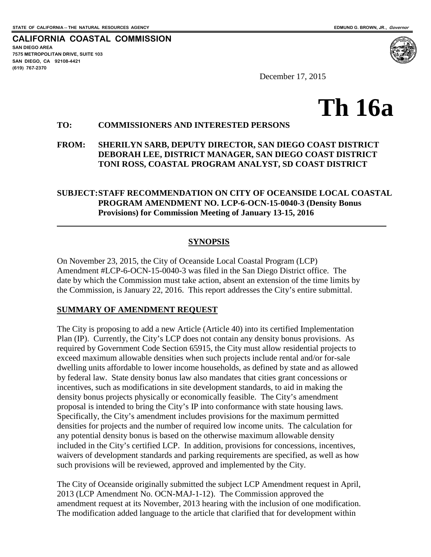**SAN DIEGO AREA**

**(619) 767-2370**

**7575 METROPOLITAN DRIVE, SUITE 103 SAN DIEGO, CA 92108-4421**

 $\overline{a}$ 

**CALIFORNIA COASTAL COMMISSION**

December 17, 2015

# **Th 16a**

#### **TO: COMMISSIONERS AND INTERESTED PERSONS**

**FROM: SHERILYN SARB, DEPUTY DIRECTOR, SAN DIEGO COAST DISTRICT DEBORAH LEE, DISTRICT MANAGER, SAN DIEGO COAST DISTRICT TONI ROSS, COASTAL PROGRAM ANALYST, SD COAST DISTRICT**

#### **SUBJECT:STAFF RECOMMENDATION ON CITY OF OCEANSIDE LOCAL COASTAL PROGRAM AMENDMENT NO. LCP-6-OCN-15-0040-3 (Density Bonus Provisions) for Commission Meeting of January 13-15, 2016**

#### **SYNOPSIS**

On November 23, 2015, the City of Oceanside Local Coastal Program (LCP) Amendment #LCP-6-OCN-15-0040-3 was filed in the San Diego District office. The date by which the Commission must take action, absent an extension of the time limits by the Commission, is January 22, 2016. This report addresses the City's entire submittal.

#### **SUMMARY OF AMENDMENT REQUEST**

The City is proposing to add a new Article (Article 40) into its certified Implementation Plan (IP). Currently, the City's LCP does not contain any density bonus provisions. As required by Government Code Section 65915, the City must allow residential projects to exceed maximum allowable densities when such projects include rental and/or for-sale dwelling units affordable to lower income households, as defined by state and as allowed by federal law. State density bonus law also mandates that cities grant concessions or incentives, such as modifications in site development standards, to aid in making the density bonus projects physically or economically feasible. The City's amendment proposal is intended to bring the City's IP into conformance with state housing laws. Specifically, the City's amendment includes provisions for the maximum permitted densities for projects and the number of required low income units. The calculation for any potential density bonus is based on the otherwise maximum allowable density included in the City's certified LCP. In addition, provisions for concessions, incentives, waivers of development standards and parking requirements are specified, as well as how such provisions will be reviewed, approved and implemented by the City.

The City of Oceanside originally submitted the subject LCP Amendment request in April, 2013 (LCP Amendment No. OCN-MAJ-1-12). The Commission approved the amendment request at its November, 2013 hearing with the inclusion of one modification. The modification added language to the article that clarified that for development within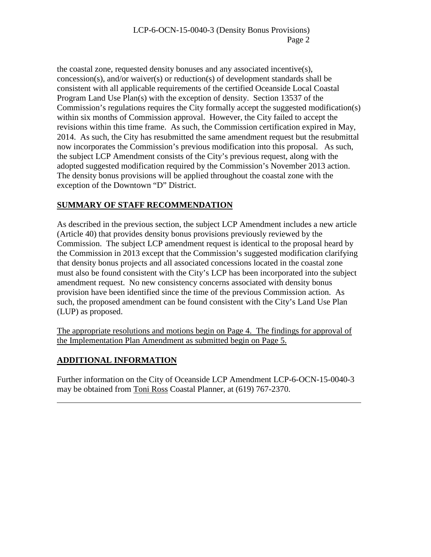the coastal zone, requested density bonuses and any associated incentive(s), concession(s), and/or waiver(s) or reduction(s) of development standards shall be consistent with all applicable requirements of the certified Oceanside Local Coastal Program Land Use Plan(s) with the exception of density. Section 13537 of the Commission's regulations requires the City formally accept the suggested modification(s) within six months of Commission approval. However, the City failed to accept the revisions within this time frame. As such, the Commission certification expired in May, 2014. As such, the City has resubmitted the same amendment request but the resubmittal now incorporates the Commission's previous modification into this proposal. As such, the subject LCP Amendment consists of the City's previous request, along with the adopted suggested modification required by the Commission's November 2013 action. The density bonus provisions will be applied throughout the coastal zone with the exception of the Downtown "D" District.

#### **SUMMARY OF STAFF RECOMMENDATION**

As described in the previous section, the subject LCP Amendment includes a new article (Article 40) that provides density bonus provisions previously reviewed by the Commission. The subject LCP amendment request is identical to the proposal heard by the Commission in 2013 except that the Commission's suggested modification clarifying that density bonus projects and all associated concessions located in the coastal zone must also be found consistent with the City's LCP has been incorporated into the subject amendment request. No new consistency concerns associated with density bonus provision have been identified since the time of the previous Commission action. As such, the proposed amendment can be found consistent with the City's Land Use Plan (LUP) as proposed.

The appropriate resolutions and motions begin on Page 4. The findings for approval of the Implementation Plan Amendment as submitted begin on Page 5.

## **ADDITIONAL INFORMATION**

 $\overline{a}$ 

Further information on the City of Oceanside LCP Amendment LCP-6-OCN-15-0040-3 may be obtained from Toni Ross Coastal Planner, at (619) 767-2370.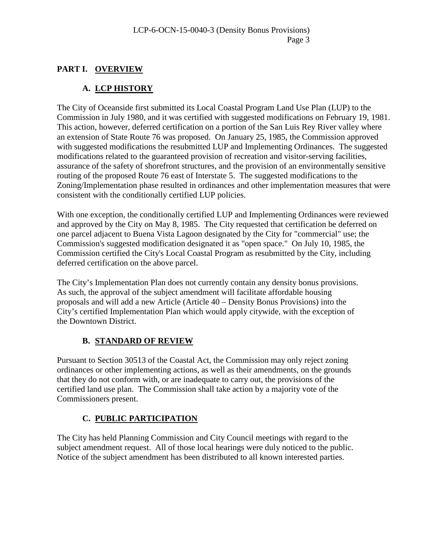### **PART I. OVERVIEW**

### **A. LCP HISTORY**

The City of Oceanside first submitted its Local Coastal Program Land Use Plan (LUP) to the Commission in July 1980, and it was certified with suggested modifications on February 19, 1981. This action, however, deferred certification on a portion of the San Luis Rey River valley where an extension of State Route 76 was proposed. On January 25, 1985, the Commission approved with suggested modifications the resubmitted LUP and Implementing Ordinances. The suggested modifications related to the guaranteed provision of recreation and visitor-serving facilities, assurance of the safety of shorefront structures, and the provision of an environmentally sensitive routing of the proposed Route 76 east of Interstate 5. The suggested modifications to the Zoning/Implementation phase resulted in ordinances and other implementation measures that were consistent with the conditionally certified LUP policies.

With one exception, the conditionally certified LUP and Implementing Ordinances were reviewed and approved by the City on May 8, 1985. The City requested that certification be deferred on one parcel adjacent to Buena Vista Lagoon designated by the City for "commercial" use; the Commission's suggested modification designated it as "open space." On July 10, 1985, the Commission certified the City's Local Coastal Program as resubmitted by the City, including deferred certification on the above parcel.

The City's Implementation Plan does not currently contain any density bonus provisions. As such, the approval of the subject amendment will facilitate affordable housing proposals and will add a new Article (Article 40 – Density Bonus Provisions) into the City's certified Implementation Plan which would apply citywide, with the exception of the Downtown District.

#### **B. STANDARD OF REVIEW**

Pursuant to Section 30513 of the Coastal Act, the Commission may only reject zoning ordinances or other implementing actions, as well as their amendments, on the grounds that they do not conform with, or are inadequate to carry out, the provisions of the certified land use plan. The Commission shall take action by a majority vote of the Commissioners present.

#### **C. PUBLIC PARTICIPATION**

The City has held Planning Commission and City Council meetings with regard to the subject amendment request. All of those local hearings were duly noticed to the public. Notice of the subject amendment has been distributed to all known interested parties.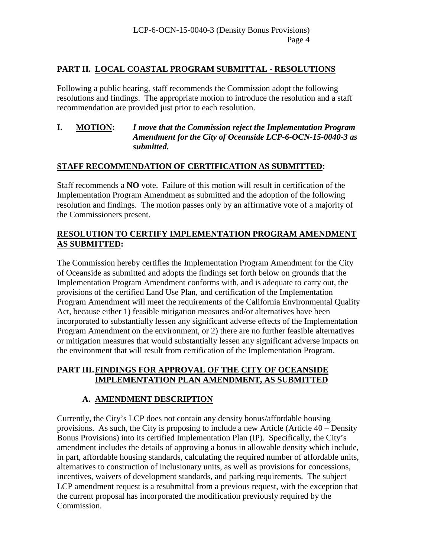#### **PART II. LOCAL COASTAL PROGRAM SUBMITTAL - RESOLUTIONS**

Following a public hearing, staff recommends the Commission adopt the following resolutions and findings. The appropriate motion to introduce the resolution and a staff recommendation are provided just prior to each resolution.

#### **I. MOTION:** *I move that the Commission reject the Implementation Program Amendment for the City of Oceanside LCP-6-OCN-15-0040-3 as submitted.*

#### **STAFF RECOMMENDATION OF CERTIFICATION AS SUBMITTED:**

Staff recommends a **NO** vote. Failure of this motion will result in certification of the Implementation Program Amendment as submitted and the adoption of the following resolution and findings. The motion passes only by an affirmative vote of a majority of the Commissioners present.

#### **RESOLUTION TO CERTIFY IMPLEMENTATION PROGRAM AMENDMENT AS SUBMITTED:**

The Commission hereby certifies the Implementation Program Amendment for the City of Oceanside as submitted and adopts the findings set forth below on grounds that the Implementation Program Amendment conforms with, and is adequate to carry out, the provisions of the certified Land Use Plan, and certification of the Implementation Program Amendment will meet the requirements of the California Environmental Quality Act, because either 1) feasible mitigation measures and/or alternatives have been incorporated to substantially lessen any significant adverse effects of the Implementation Program Amendment on the environment, or 2) there are no further feasible alternatives or mitigation measures that would substantially lessen any significant adverse impacts on the environment that will result from certification of the Implementation Program.

#### **PART III.FINDINGS FOR APPROVAL OF THE CITY OF OCEANSIDE IMPLEMENTATION PLAN AMENDMENT, AS SUBMITTED**

#### **A. AMENDMENT DESCRIPTION**

Currently, the City's LCP does not contain any density bonus/affordable housing provisions. As such, the City is proposing to include a new Article (Article 40 – Density Bonus Provisions) into its certified Implementation Plan (IP). Specifically, the City's amendment includes the details of approving a bonus in allowable density which include, in part, affordable housing standards, calculating the required number of affordable units, alternatives to construction of inclusionary units, as well as provisions for concessions, incentives, waivers of development standards, and parking requirements. The subject LCP amendment request is a resubmittal from a previous request, with the exception that the current proposal has incorporated the modification previously required by the Commission.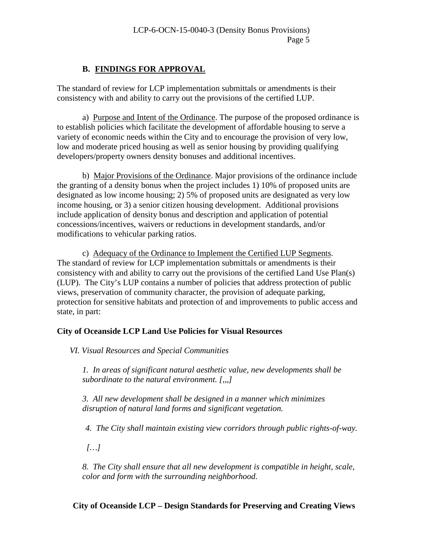#### **B. FINDINGS FOR APPROVAL**

The standard of review for LCP implementation submittals or amendments is their consistency with and ability to carry out the provisions of the certified LUP.

a) Purpose and Intent of the Ordinance. The purpose of the proposed ordinance is to establish policies which facilitate the development of affordable housing to serve a variety of economic needs within the City and to encourage the provision of very low, low and moderate priced housing as well as senior housing by providing qualifying developers/property owners density bonuses and additional incentives.

b) Major Provisions of the Ordinance. Major provisions of the ordinance include the granting of a density bonus when the project includes 1) 10% of proposed units are designated as low income housing; 2) 5% of proposed units are designated as very low income housing, or 3) a senior citizen housing development. Additional provisions include application of density bonus and description and application of potential concessions/incentives, waivers or reductions in development standards, and/or modifications to vehicular parking ratios.

c) Adequacy of the Ordinance to Implement the Certified LUP Segments. The standard of review for LCP implementation submittals or amendments is their consistency with and ability to carry out the provisions of the certified Land Use Plan(s) (LUP). The City's LUP contains a number of policies that address protection of public views, preservation of community character, the provision of adequate parking, protection for sensitive habitats and protection of and improvements to public access and state, in part:

#### **City of Oceanside LCP Land Use Policies for Visual Resources**

*VI. Visual Resources and Special Communities* 

*1. In areas of significant natural aesthetic value, new developments shall be subordinate to the natural environment. [,,,]* 

*3. All new development shall be designed in a manner which minimizes disruption of natural land forms and significant vegetation.* 

 *4. The City shall maintain existing view corridors through public rights-of-way.*

 *[…]*

*8. The City shall ensure that all new development is compatible in height, scale, color and form with the surrounding neighborhood.* 

#### **City of Oceanside LCP – Design Standards for Preserving and Creating Views**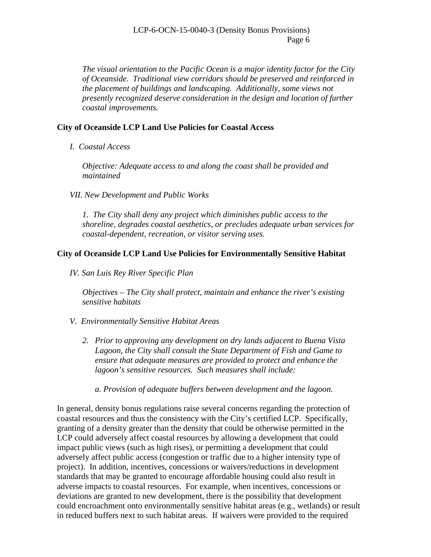LCP-6-OCN-15-0040-3 (Density Bonus Provisions) Page 6

*The visual orientation to the Pacific Ocean is a major identity factor for the City of Oceanside. Traditional view corridors should be preserved and reinforced in the placement of buildings and landscaping. Additionally, some views not presently recognized deserve consideration in the design and location of further coastal improvements.* 

#### **City of Oceanside LCP Land Use Policies for Coastal Access**

*I. Coastal Access* 

*Objective: Adequate access to and along the coast shall be provided and maintained* 

*VII. New Development and Public Works* 

*1. The City shall deny any project which diminishes public access to the shoreline, degrades coastal aesthetics, or precludes adequate urban services for coastal-dependent, recreation, or visitor serving uses.* 

#### **City of Oceanside LCP Land Use Policies for Environmentally Sensitive Habitat**

*IV. San Luis Rey River Specific Plan*

*Objectives – The City shall protect, maintain and enhance the river's existing sensitive habitats*

- *V. Environmentally Sensitive Habitat Areas* 
	- *2. Prior to approving any development on dry lands adjacent to Buena Vista Lagoon, the City shall consult the State Department of Fish and Game to ensure that adequate measures are provided to protect and enhance the lagoon's sensitive resources. Such measures shall include:*

*a. Provision of adequate buffers between development and the lagoon.* 

In general, density bonus regulations raise several concerns regarding the protection of coastal resources and thus the consistency with the City's certified LCP. Specifically, granting of a density greater than the density that could be otherwise permitted in the LCP could adversely affect coastal resources by allowing a development that could impact public views (such as high rises), or permitting a development that could adversely affect public access (congestion or traffic due to a higher intensity type of project). In addition, incentives, concessions or waivers/reductions in development standards that may be granted to encourage affordable housing could also result in adverse impacts to coastal resources. For example, when incentives, concessions or deviations are granted to new development, there is the possibility that development could encroachment onto environmentally sensitive habitat areas (e.g., wetlands) or result in reduced buffers next to such habitat areas. If waivers were provided to the required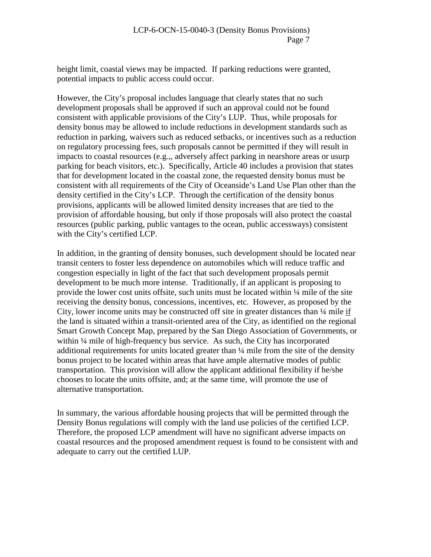height limit, coastal views may be impacted. If parking reductions were granted, potential impacts to public access could occur.

However, the City's proposal includes language that clearly states that no such development proposals shall be approved if such an approval could not be found consistent with applicable provisions of the City's LUP. Thus, while proposals for density bonus may be allowed to include reductions in development standards such as reduction in parking, waivers such as reduced setbacks, or incentives such as a reduction on regulatory processing fees, such proposals cannot be permitted if they will result in impacts to coastal resources (e.g.,, adversely affect parking in nearshore areas or usurp parking for beach visitors, etc.). Specifically, Article 40 includes a provision that states that for development located in the coastal zone, the requested density bonus must be consistent with all requirements of the City of Oceanside's Land Use Plan other than the density certified in the City's LCP. Through the certification of the density bonus provisions, applicants will be allowed limited density increases that are tied to the provision of affordable housing, but only if those proposals will also protect the coastal resources (public parking, public vantages to the ocean, public accessways) consistent with the City's certified LCP.

In addition, in the granting of density bonuses, such development should be located near transit centers to foster less dependence on automobiles which will reduce traffic and congestion especially in light of the fact that such development proposals permit development to be much more intense. Traditionally, if an applicant is proposing to provide the lower cost units offsite, such units must be located within  $\frac{1}{4}$  mile of the site receiving the density bonus, concessions, incentives, etc. However, as proposed by the City, lower income units may be constructed off site in greater distances than ¼ mile if the land is situated within a transit-oriented area of the City, as identified on the regional Smart Growth Concept Map, prepared by the San Diego Association of Governments, or within ¼ mile of high-frequency bus service. As such, the City has incorporated additional requirements for units located greater than ¼ mile from the site of the density bonus project to be located within areas that have ample alternative modes of public transportation. This provision will allow the applicant additional flexibility if he/she chooses to locate the units offsite, and; at the same time, will promote the use of alternative transportation.

In summary, the various affordable housing projects that will be permitted through the Density Bonus regulations will comply with the land use policies of the certified LCP. Therefore, the proposed LCP amendment will have no significant adverse impacts on coastal resources and the proposed amendment request is found to be consistent with and adequate to carry out the certified LUP.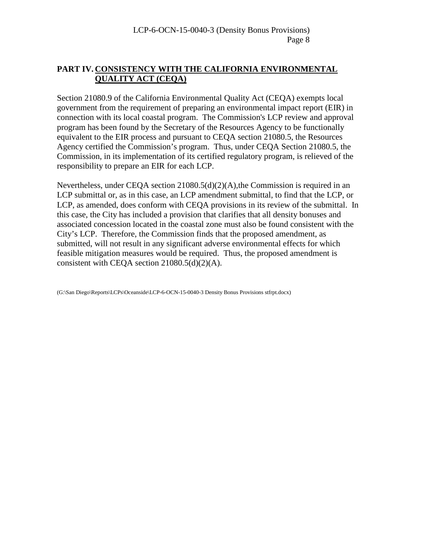#### **PART IV. CONSISTENCY WITH THE CALIFORNIA ENVIRONMENTAL QUALITY ACT (CEQA)**

Section 21080.9 of the California Environmental Quality Act (CEQA) exempts local government from the requirement of preparing an environmental impact report (EIR) in connection with its local coastal program. The Commission's LCP review and approval program has been found by the Secretary of the Resources Agency to be functionally equivalent to the EIR process and pursuant to CEQA section 21080.5, the Resources Agency certified the Commission's program. Thus, under CEQA Section 21080.5, the Commission, in its implementation of its certified regulatory program, is relieved of the responsibility to prepare an EIR for each LCP.

Nevertheless, under CEQA section 21080.5(d)(2)(A),the Commission is required in an LCP submittal or, as in this case, an LCP amendment submittal, to find that the LCP, or LCP, as amended, does conform with CEQA provisions in its review of the submittal. In this case, the City has included a provision that clarifies that all density bonuses and associated concession located in the coastal zone must also be found consistent with the City's LCP. Therefore, the Commission finds that the proposed amendment, as submitted, will not result in any significant adverse environmental effects for which feasible mitigation measures would be required. Thus, the proposed amendment is consistent with CEQA section 21080.5(d)(2)(A).

(G:\San Diego\Reports\LCPs\Oceanside\LCP-6-OCN-15-0040-3 Density Bonus Provisions stfrpt.docx)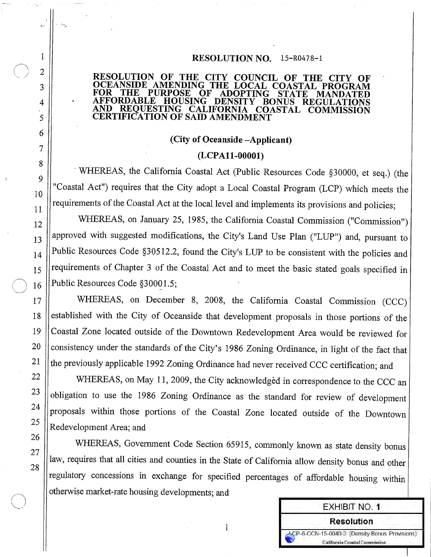#### RESOLUTION NO. 15-R0478-1

#### RESOLUTION OF THE CITY COUNCIL OF THE CITY OF OCEANSIDE AMENDING THE LOCAL COASTAL PROGRAM **FOR THE PURPOSE**  $\mathbf{O} \mathbf{F}$ **ADOPTING STATE** MANDATED **AFFORDABLE** HOUSING DENSITY BONUS REGULATIONS AND REOUESTING CALIFORNIA COASTAL COMMISSION **CERTIFICATION OF SAID AMENDMENT**

#### (City of Oceanside -Applicant)

#### (LCPA11-00001)

WHEREAS, the California Coastal Act (Public Resources Code §30000, et seq.) (the "Coastal Act") requires that the City adopt a Local Coastal Program (LCP) which meets the requirements of the Coastal Act at the local level and implements its provisions and policies;

WHEREAS, on January 25, 1985, the California Coastal Commission ("Commission") approved with suggested modifications, the City's Land Use Plan ("LUP") and, pursuant to Public Resources Code §30512.2, found the City's LUP to be consistent with the policies and requirements of Chapter 3 of the Coastal Act and to meet the basic stated goals specified in Public Resources Code §30001.5;

WHEREAS, on December 8, 2008, the California Coastal Commission (CCC) established with the City of Oceanside that development proposals in those portions of the Coastal Zone located outside of the Downtown Redevelopment Area would be reviewed for consistency under the standards of the City's 1986 Zoning Ordinance, in light of the fact that the previously applicable 1992 Zoning Ordinance had never received CCC certification; and

WHEREAS, on May 11, 2009, the City acknowledged in correspondence to the CCC an obligation to use the 1986 Zoning Ordinance as the standard for review of development proposals within those portions of the Coastal Zone located outside of the Downtown Redevelopment Area; and

WHEREAS, Government Code Section 65915, commonly known as state density bonus law, requires that all cities and counties in the State of California allow density bonus and other regulatory concessions in exchange for specified percentages of affordable housing within otherwise market-rate housing developments; and

 $\mathbf{1}$ 

**EXHIBIT NO. 1** 

**Resolution** 

LCP-6-OCN-15-0040-3 (Density Bonus Provisions) California Coastal Commission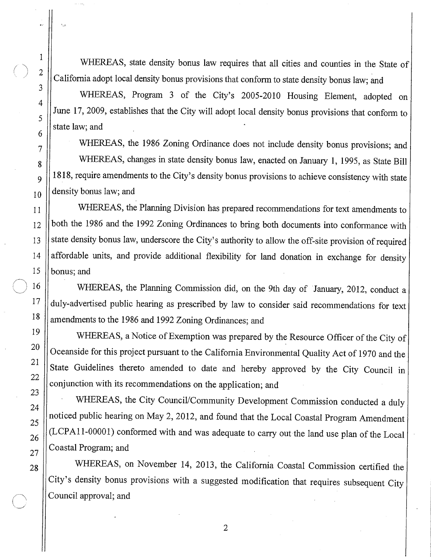WHEREAS, state density bonus law requires that all cities and counties in the State of California adopt local density bonus provisions that conform to state density bonus law; and

WHEREAS, Program 3 of the City's 2005-2010 Housing Element, adopted on June 17, 2009, establishes that the City will adopt local density bonus provisions that conform to state law: and

WHEREAS, the 1986 Zoning Ordinance does not include density bonus provisions; and WHEREAS, changes in state density bonus law, enacted on January 1, 1995, as State Bill 1818, require amendments to the City's density bonus provisions to achieve consistency with state density bonus law; and

WHEREAS, the Planning Division has prepared recommendations for text amendments to both the 1986 and the 1992 Zoning Ordinances to bring both documents into conformance with state density bonus law, underscore the City's authority to allow the off-site provision of required affordable units, and provide additional flexibility for land donation in exchange for density bonus; and

WHEREAS, the Planning Commission did, on the 9th day of January, 2012, conduct a duly-advertised public hearing as prescribed by law to consider said recommendations for text amendments to the 1986 and 1992 Zoning Ordinances; and

WHEREAS, a Notice of Exemption was prepared by the Resource Officer of the City of Oceanside for this project pursuant to the California Environmental Quality Act of 1970 and the State Guidelines thereto amended to date and hereby approved by the City Council in conjunction with its recommendations on the application; and

WHEREAS, the City Council/Community Development Commission conducted a duly noticed public hearing on May 2, 2012, and found that the Local Coastal Program Amendment (LCPA11-00001) conformed with and was adequate to carry out the land use plan of the Local Coastal Program; and

WHEREAS, on November 14, 2013, the California Coastal Commission certified the City's density bonus provisions with a suggested modification that requires subsequent City Council approval; and

 $\mathbf{1}$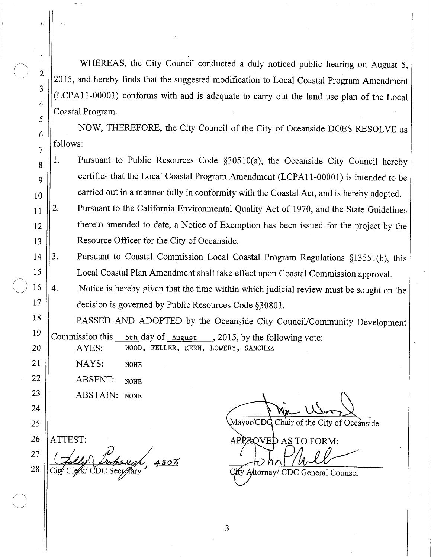WHEREAS, the City Council conducted a duly noticed public hearing on August 5, 2015, and hereby finds that the suggested modification to Local Coastal Program Amendment (LCPA11-00001) conforms with and is adequate to carry out the land use plan of the Local Coastal Program.

NOW, THEREFORE, the City Council of the City of Oceanside DOES RESOLVE as follows:

 $1.$ Pursuant to Public Resources Code §30510(a), the Oceanside City Council hereby certifies that the Local Coastal Program Amendment (LCPA11-00001) is intended to be carried out in a manner fully in conformity with the Coastal Act, and is hereby adopted.

Pursuant to the California Environmental Quality Act of 1970, and the State Guidelines 2. thereto amended to date, a Notice of Exemption has been issued for the project by the Resource Officer for the City of Oceanside.

3. Pursuant to Coastal Commission Local Coastal Program Regulations §13551(b), this 14 Local Coastal Plan Amendment shall take effect upon Coastal Commission approval. 15

Notice is hereby given that the time within which judicial review must be sought on the  $4.$ decision is governed by Public Resources Code §30801.

PASSED AND ADOPTED by the Oceanside City Council/Community Development Commission this 5th day of August  $, 2015$ , by the following vote: WOOD, FELLER, KERN, LOWERY, SANCHEZ AYES:

NAYS: **NONE** 

**ABSENT: NONE** 

**ABSTAIN: NONE** 

26 ATTEST:

 $\mathbf{1}$ 

 $\overline{2}$ 

3

 $\overline{4}$ 

5

6

 $\overline{7}$ 

8

9

10

 $11$ 

 $12$ 

13

16

 $17$ 

18

19

20

21

22

23

24

25

27 28

Chair of the City of Oceanside Mavor/CDC

APPROVED AS TO FORM:

fy Attorney/ CDC General Counsel

3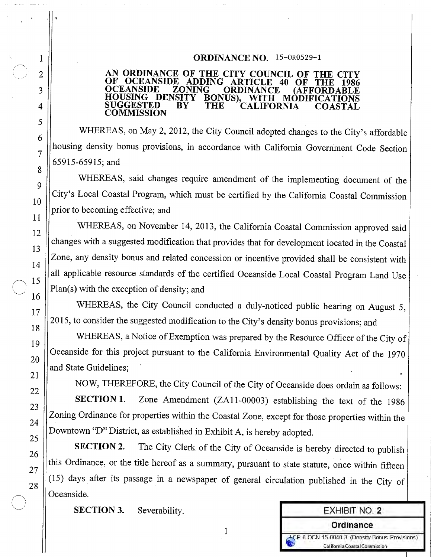#### ORDINANCE NO. 15-0R0529-1

#### AN ORDINANCE OF THE CITY COUNCIL OF THE CITY **OCEANSIDE ADDING ARTICLE** 40 OF THE OCEANSIDE **ZONING ORDINANCE AFFORDA** DENSITY BONUS). HOUSING WITH MODIFICATIONS **SUGGESTED** BY THE CALIFORNIA COASTAL COMMISSION

WHEREAS, on May 2, 2012, the City Council adopted changes to the City's affordable housing density bonus provisions, in accordance with California Government Code Section 65915-65915; and

WHEREAS, said changes require amendment of the implementing document of the City's Local Coastal Program, which must be certified by the California Coastal Commission prior to becoming effective; and

WHEREAS, on November 14, 2013, the California Coastal Commission approved said changes with a suggested modification that provides that for development located in the Coastal Zone, any density bonus and related concession or incentive provided shall be consistent with all applicable resource standards of the certified Oceanside Local Coastal Program Land Use Plan(s) with the exception of density; and

WHEREAS, the City Council conducted a duly-noticed public hearing on August 5, 2015, to consider the suggested modification to the City's density bonus provisions; and

WHEREAS, a Notice of Exemption was prepared by the Resource Officer of the City of Oceanside for this project pursuant to the California Environmental Quality Act of the 1970 and State Guidelines:

NOW, THEREFORE, the City Council of the City of Oceanside does ordain as follows:

Zone Amendment (ZA11-00003) establishing the text of the 1986 **SECTION 1.** Zoning Ordinance for properties within the Coastal Zone, except for those properties within the Downtown "D" District, as established in Exhibit A, is hereby adopted.

The City Clerk of the City of Oceanside is hereby directed to publish **SECTION 2.** this Ordinance, or the title hereof as a summary, pursuant to state statute, once within fifteen (15) days after its passage in a newspaper of general circulation published in the City of Oceanside.

 $\mathbf{1}$ 

**SECTION 3.** Severability.

**EXHIBIT NO. 2** Ordinance CP-6-OCN-15-0040-3 (Density Bonus Provisions) California Coastal Commission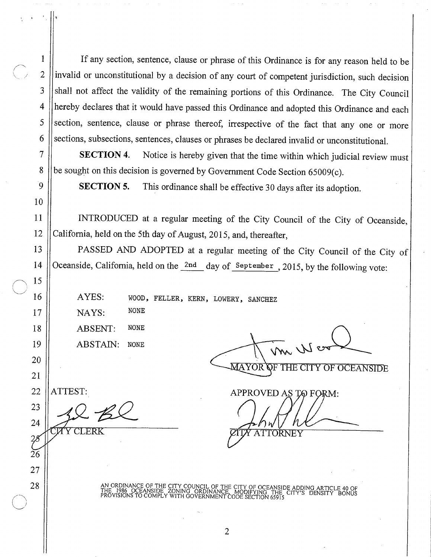If any section, sentence, clause or phrase of this Ordinance is for any reason held to be invalid or unconstitutional by a decision of any court of competent jurisdiction, such decision shall not affect the validity of the remaining portions of this Ordinance. The City Council hereby declares that it would have passed this Ordinance and adopted this Ordinance and each section, sentence, clause or phrase thereof, irrespective of the fact that any one or more sections, subsections, sentences, clauses or phrases be declared invalid or unconstitutional.

Notice is hereby given that the time within which judicial review must **SECTION 4.** be sought on this decision is governed by Government Code Section 65009(c).

This ordinance shall be effective 30 days after its adoption. **SECTION 5.** 

INTRODUCED at a regular meeting of the City Council of the City of Oceanside, California, held on the 5th day of August, 2015, and, thereafter,

PASSED AND ADOPTED at a regular meeting of the City Council of the City of Oceanside, California, held on the 2nd day of September, 2015, by the following vote:

AYES: WOOD, FELLER, KERN, LOWERY, SANCHEZ

**NONE** NAYS:

**NONE** ABSENT: ABSTAIN: **NONE** 

m We

**MAYOR OF THE CITY OF OCEANSIDE** 

22 ATTEST:

 $\mathbf{1}$ 

 $\overline{2}$ 

 $\overline{3}$ 

 $\overline{4}$ 

5

6

 $\overline{7}$ 

8

 $\mathsf{Q}$ 

10

11

12

13

14

15

16

17

18

19

20

21

23

24

 $\mathcal{Z}$  $2\overline{6}$ 

27

28

**AY CLERK** 

APPROVED AS TO FORM: ATTORNEY

AN ORDINANCE OF THE CITY COUNCIL OF THE CITY OF OCEANSIDE ADDING<br>THE 1986 OCEANSIDE ZONING ORDINANCE, MODIFYING THE CITY'S DE<br>PROVISIONS TO COMPLY WITH GOVERNMENT CODE SECTION 65915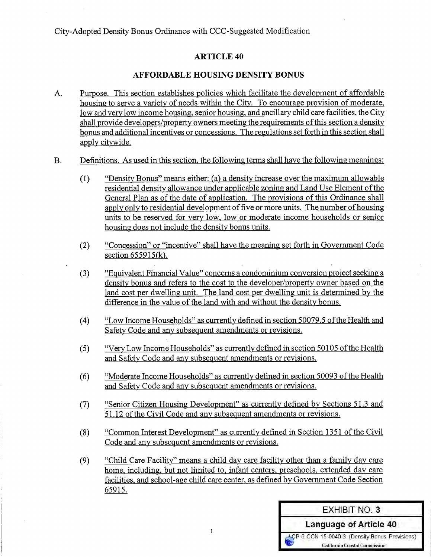#### **ARTICLE 40**

#### **AFFORDABLE HOUSING DENSITY BONUS**

- Purpose. This section establishes policies which facilitate the development of affordable  $A<sub>1</sub>$ housing to serve a variety of needs within the City. To encourage provision of moderate, low and very low income housing, senior housing, and ancillary child care facilities, the City shall provide developers/property owners meeting the requirements of this section a density bonus and additional incentives or concessions. The regulations set forth in this section shall apply citywide.
- Definitions. As used in this section, the following terms shall have the following meanings:  $B.$ 
	- "Density Bonus" means either: (a) a density increase over the maximum allowable  $(1)$ residential density allowance under applicable zoning and Land Use Element of the General Plan as of the date of application. The provisions of this Ordinance shall apply only to residential development of five or more units. The number of housing units to be reserved for very low, low or moderate income households or senior housing does not include the density bonus units.
	- "Concession" or "incentive" shall have the meaning set forth in Government Code  $(2)$ section  $655915(k)$ .
	- "Equivalent Financial Value" concerns a condominium conversion project seeking a  $(3)$ density bonus and refers to the cost to the developer/property owner based on the land cost per dwelling unit. The land cost per dwelling unit is determined by the difference in the value of the land with and without the density bonus.
	- $(4)$ "Low Income Households" as currently defined in section 50079.5 of the Health and Safety Code and any subsequent amendments or revisions.
	- "Very Low Income Households" as currently defined in section 50105 of the Health  $(5)$ and Safety Code and any subsequent amendments or revisions.
	- "Moderate Income Households" as currently defined in section 50093 of the Health  $(6)$ and Safety Code and any subsequent amendments or revisions.
	- "Senior Citizen Housing Development" as currently defined by Sections 51.3 and  $(7)$ 51.12 of the Civil Code and any subsequent amendments or revisions.
	- "Common Interest Development" as currently defined in Section 1351 of the Civil  $(8)$ Code and any subsequent amendments or revisions.
	- "Child Care Facility" means a child day care facility other than a family day care  $(9)$ home, including, but not limited to, infant centers, preschools, extended day care facilities, and school-age child care center, as defined by Government Code Section 65915.

 $\mathbf{I}$ 

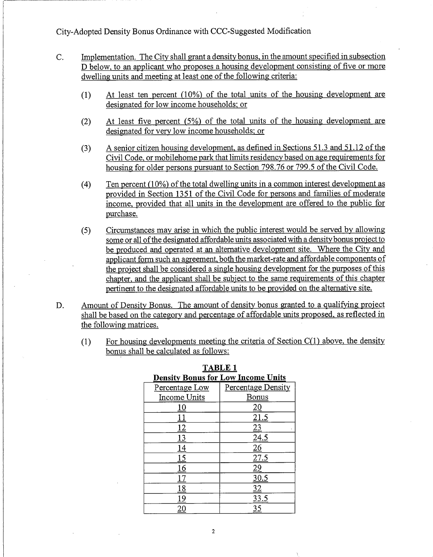- $C<sub>r</sub>$ Implementation. The City shall grant a density bonus, in the amount specified in subsection D below, to an applicant who proposes a housing development consisting of five or more dwelling units and meeting at least one of the following criteria:
	- At least ten percent  $(10\%)$  of the total units of the housing development are  $(1)$ designated for low income households; or
	- At least five percent (5%) of the total units of the housing development are  $(2)$ designated for very low income households; or
	- A senior citizen housing development, as defined in Sections 51.3 and 51.12 of the  $(3)$ Civil Code, or mobilehome park that limits residency based on age requirements for housing for older persons pursuant to Section 798.76 or 799.5 of the Civil Code.
	- Ten percent (10%) of the total dwelling units in a common interest development as  $(4)$ provided in Section 1351 of the Civil Code for persons and families of moderate income, provided that all units in the development are offered to the public for purchase.
	- Circumstances may arise in which the public interest would be served by allowing  $(5)$ some or all of the designated affordable units associated with a density bonus project to be produced and operated at an alternative development site. Where the City and applicant form such an agreement, both the market-rate and affordable components of the project shall be considered a single housing development for the purposes of this chapter, and the applicant shall be subject to the same requirements of this chapter pertinent to the designated affordable units to be provided on the alternative site.
- Amount of Density Bonus. The amount of density bonus granted to a qualifying project D. shall be based on the category and percentage of affordable units proposed, as reflected in the following matrices.
	- For housing developments meeting the criteria of Section  $C(1)$  above, the density  $(1)$ bonus shall be calculated as follows:

| <b>Density Bonus for Low Income Units</b> |                    |
|-------------------------------------------|--------------------|
| Percentage Low                            | Percentage Density |
| Income Units                              | Bonus              |
|                                           |                    |
|                                           |                    |
|                                           |                    |
|                                           | 24.5               |
|                                           |                    |
|                                           |                    |
|                                           |                    |
|                                           |                    |
| 8                                         |                    |
|                                           | 33.5               |
|                                           |                    |

**TABLE 1**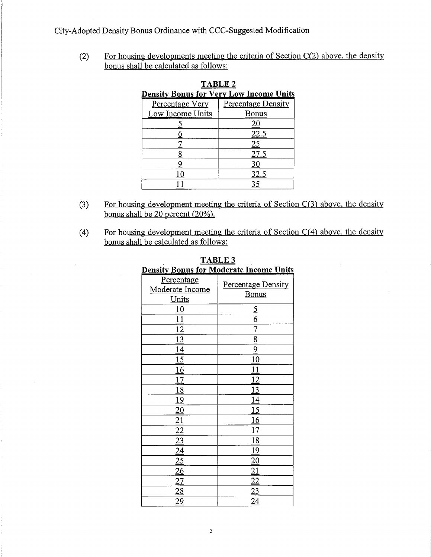For housing developments meeting the criteria of Section  $C(2)$  above, the density  $(2)$ bonus shall be calculated as follows:

| <b>TABLE 2</b>                                 |                    |  |
|------------------------------------------------|--------------------|--|
| <u>Density Bonus for Very Low Income Units</u> |                    |  |
| Percentage Very                                | Percentage Density |  |
| Low Income Units                               | Bonus              |  |
|                                                |                    |  |
|                                                | <u>22.5</u>        |  |
|                                                | 25                 |  |
|                                                | 27.5               |  |
|                                                |                    |  |
|                                                | 32.5               |  |
|                                                |                    |  |

- For housing development meeting the criteria of Section  $C(3)$  above, the density  $(3)$ bonus shall be 20 percent  $(20\%)$ .
- For housing development meeting the criteria of Section  $C(4)$  above, the density  $(4)$ bonus shall be calculated as follows:

l,

| <u>Density Bonus for Moderate Income Units</u> |  |
|------------------------------------------------|--|
| Percentage Density<br><b>Bonus</b>             |  |
| <u>يا</u>                                      |  |
| $\underline{6}$                                |  |
| $\overline{7}$                                 |  |
| $\overline{8}$                                 |  |
| $\overline{9}$                                 |  |
| 10                                             |  |
| $\overline{11}$                                |  |
| $\frac{12}{1}$                                 |  |
| $\overline{13}$                                |  |
| $\overline{14}$                                |  |
| 15                                             |  |
| 16                                             |  |
| 17                                             |  |
| 18                                             |  |
| $\overline{19}$                                |  |
| <u> 20</u>                                     |  |
| $\overline{21}$                                |  |
| $\frac{22}{23}$                                |  |
|                                                |  |
| <u>24</u>                                      |  |
|                                                |  |

| TABLE 3                                        |  |  |
|------------------------------------------------|--|--|
| <b>Density Bonus for Moderate Income Units</b> |  |  |
|                                                |  |  |

 $\hat{\mathbf{r}}$ 

 $\mathcal{L}$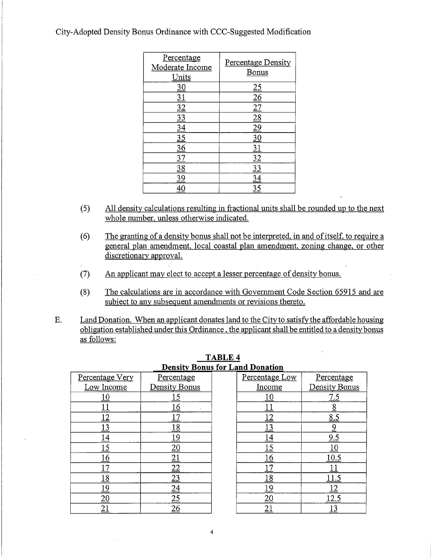| Percentage<br>Moderate Income<br>Units | Percentage Density<br>Bonus |
|----------------------------------------|-----------------------------|
|                                        |                             |
|                                        |                             |
|                                        |                             |
|                                        |                             |
|                                        |                             |
| <u>35</u>                              |                             |
| 6                                      |                             |
|                                        |                             |
| <u>38</u>                              |                             |
|                                        |                             |
|                                        |                             |

- All density calculations resulting in fractional units shall be rounded up to the next  $(5)$ whole number, unless otherwise indicated.
- The granting of a density bonus shall not be interpreted, in and of itself, to require a  $(6)$ general plan amendment, local coastal plan amendment, zoning change, or other discretionary approval.
- An applicant may elect to accept a lesser percentage of density bonus.  $(7)$
- $(8)$ The calculations are in accordance with Government Code Section 65915 and are subject to any subsequent amendments or revisions thereto.
- Land Donation. When an applicant donates land to the City to satisfy the affordable housing E. obligation established under this Ordinance, the applicant shall be entitled to a density bonus as follows:

|                 | <u>Density Donus Iuf La</u> |  |
|-----------------|-----------------------------|--|
| Percentage Very | Percentage                  |  |
| Low Income      | Density Bonus               |  |
|                 | <u> 15</u>                  |  |
|                 |                             |  |
|                 |                             |  |
| $\frac{3}{2}$   | 18                          |  |
|                 | 19                          |  |
| 5               |                             |  |
| 6               |                             |  |
|                 |                             |  |
| 18              | <u>23</u>                   |  |
| 19              |                             |  |
|                 |                             |  |
|                 |                             |  |

## **TABLE 4**<br>Density Bonus for Land Donation

| Percentage Low | Percentage    |
|----------------|---------------|
| Income         | Density Bonus |
|                | 7.5           |
|                |               |
|                | <u>8.5</u>    |
|                |               |
|                | 9.5           |
| <u> 15</u>     |               |
|                | 0.5           |
|                |               |
| .8             |               |
|                |               |
|                |               |
|                |               |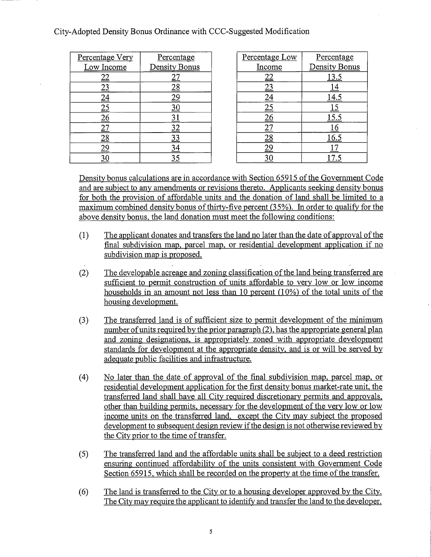| Percentage Very | Percentage    |
|-----------------|---------------|
| Low Income      | Density Bonus |
|                 |               |
|                 |               |
|                 | <u> 29</u>    |
|                 |               |
|                 |               |
|                 | <u>32</u>     |
|                 | 33            |
|                 |               |
|                 |               |

| Percentage Low | Percentage    |
|----------------|---------------|
| Income         | Density Bonus |
|                | <u> 13.5</u>  |
|                |               |
|                | 14.5          |
|                | 15            |
|                | 15.5          |
|                | l 6           |
|                | 16.5          |
|                |               |
|                |               |

Density bonus calculations are in accordance with Section 65915 of the Government Code and are subject to any amendments or revisions thereto. Applicants seeking density bonus for both the provision of affordable units and the donation of land shall be limited to a maximum combined density bonus of thirty-five percent (35%). In order to qualify for the above density bonus, the land donation must meet the following conditions:

- The applicant donates and transfers the land no later than the date of approval of the  $(1)$ final subdivision map, parcel map, or residential development application if no subdivision map is proposed.
- The developable acreage and zoning classification of the land being transferred are  $(2)$ sufficient to permit construction of units affordable to very low or low income households in an amount not less than 10 percent  $(10\%)$  of the total units of the housing development.
- $(3)$ The transferred land is of sufficient size to permit development of the minimum number of units required by the prior paragraph (2), has the appropriate general plan and zoning designations, is appropriately zoned with appropriate development standards for development at the appropriate density, and is or will be served by adequate public facilities and infrastructure.
- $(4)$ No later than the date of approval of the final subdivision map, parcel map, or residential development application for the first density bonus market-rate unit, the transferred land shall have all City required discretionary permits and approvals, other than building permits, necessary for the development of the very low or low income units on the transferred land, except the City may subject the proposed development to subsequent design review if the design is not otherwise reviewed by the City prior to the time of transfer.
- $(5)$ The transferred land and the affordable units shall be subject to a deed restriction ensuring continued affordability of the units consistent with Government Code Section 65915, which shall be recorded on the property at the time of the transfer.
- The land is transferred to the City or to a housing developer approved by the City.  $(6)$ The City may require the applicant to identify and transfer the land to the developer.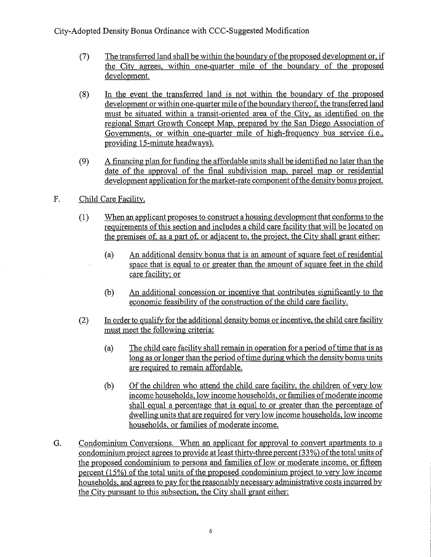- The transferred land shall be within the boundary of the proposed development or, if  $(7)$ the City agrees, within one-quarter mile of the boundary of the proposed development.
- In the event the transferred land is not within the boundary of the proposed  $(8)$ development or within one-quarter mile of the boundary thereof, the transferred land must be situated within a transit-oriented area of the City, as identified on the regional Smart Growth Concept Map, prepared by the San Diego Association of Governments, or within one-quarter mile of high-frequency bus service (i.e., providing 15-minute headways).
- A financing plan for funding the affordable units shall be identified no later than the  $(9)$ date of the approval of the final subdivision map, parcel map or residential development application for the market-rate component of the density bonus project.
- F. Child Care Facility.

 $\overline{\phantom{a}}$ 

- $(1)$ When an applicant proposes to construct a housing development that conforms to the requirements of this section and includes a child care facility that will be located on the premises of, as a part of, or adjacent to, the project, the City shall grant either:
	- An additional density bonus that is an amount of square feet of residential  $(a)$ space that is equal to or greater than the amount of square feet in the child care facility; or
	- An additional concession or incentive that contributes significantly to the  $(b)$ economic feasibility of the construction of the child care facility.
- $(2)$ In order to qualify for the additional density bonus or incentive, the child care facility must meet the following criteria:
	- The child care facility shall remain in operation for a period of time that is as  $(a)$ long as or longer than the period of time during which the density bonus units are required to remain affordable.
	- Of the children who attend the child care facility, the children of very low  $(b)$ income households, low income households, or families of moderate income shall equal a percentage that is equal to or greater than the percentage of dwelling units that are required for very low income households, low income households, or families of moderate income.
- Condominium Conversions. When an applicant for approval to convert apartments to a G. condominium project agrees to provide at least thirty-three percent (33%) of the total units of the proposed condominium to persons and families of low or moderate income, or fifteen percent (15%) of the total units of the proposed condominium project to very low income households, and agrees to pay for the reasonably necessary administrative costs incurred by the City pursuant to this subsection, the City shall grant either: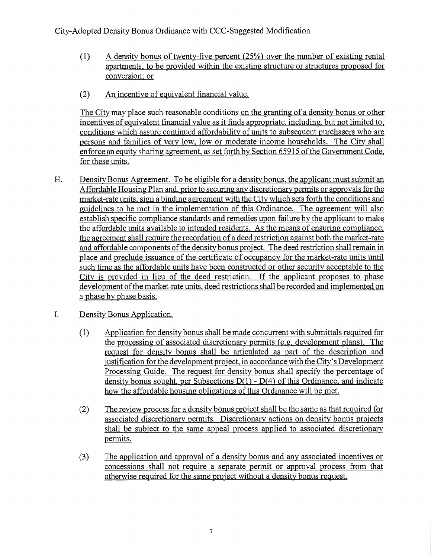- $(1)$ A density bonus of twenty-five percent (25%) over the number of existing rental apartments, to be provided within the existing structure or structures proposed for conversion: or
- An incentive of equivalent financial value.  $(2)$

The City may place such reasonable conditions on the granting of a density bonus or other incentives of equivalent financial value as it finds appropriate, including, but not limited to, conditions which assure continued affordability of units to subsequent purchasers who are persons and families of very low, low or moderate income households. The City shall enforce an equity sharing agreement, as set forth by Section 65915 of the Government Code, for these units.

- H. Density Bonus Agreement. To be eligible for a density bonus, the applicant must submit an Affordable Housing Plan and, prior to securing any discretionary permits or approvals for the market-rate units, sign a binding agreement with the City which sets forth the conditions and guidelines to be met in the implementation of this Ordinance. The agreement will also establish specific compliance standards and remedies upon failure by the applicant to make the affordable units available to intended residents. As the means of ensuring compliance, the agreement shall require the recordation of a deed restriction against both the market-rate and affordable components of the density bonus project. The deed restriction shall remain in place and preclude issuance of the certificate of occupancy for the market-rate units until such time as the affordable units have been constructed or other security acceptable to the City is provided in lieu of the deed restriction. If the applicant proposes to phase development of the market-rate units, deed restrictions shall be recorded and implemented on a phase by phase basis.
- L. Density Bonus Application.
	- Application for density bonus shall be made concurrent with submittals required for  $(1)$ the processing of associated discretionary permits (e.g. development plans). The request for density bonus shall be articulated as part of the description and justification for the development project, in accordance with the City's Development Processing Guide. The request for density bonus shall specify the percentage of density bonus sought, per Subsections  $D(1)$  -  $D(4)$  of this Ordinance, and indicate how the affordable housing obligations of this Ordinance will be met.
	- The review process for a density bonus project shall be the same as that required for  $(2)$ associated discretionary permits. Discretionary actions on density bonus projects shall be subject to the same appeal process applied to associated discretionary permits.
	- The application and approval of a density bonus and any associated incentives or  $(3)$ concessions shall not require a separate permit or approval process from that otherwise required for the same project without a density bonus request.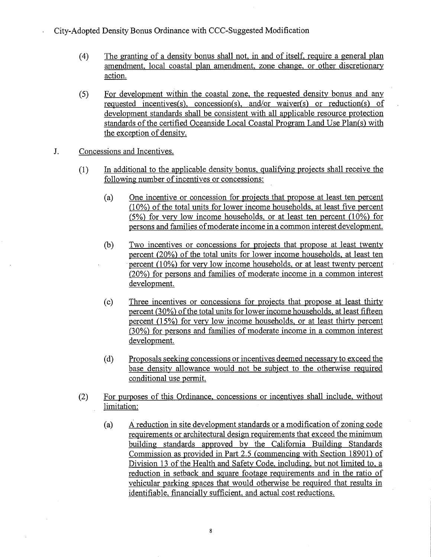- $(4)$ The granting of a density bonus shall not, in and of itself, require a general plan amendment, local coastal plan amendment, zone change, or other discretionary action.
- For development within the coastal zone, the requested density bonus and any  $(5)$ requested incentives(s), concession(s), and/or waiver(s) or reduction(s) of development standards shall be consistent with all applicable resource protection standards of the certified Oceanside Local Coastal Program Land Use Plan(s) with the exception of density.
- J. Concessions and Incentives.
	- In additional to the applicable density bonus, qualifying projects shall receive the  $(1)$ following number of incentives or concessions:
		- $(a)$ One incentive or concession for projects that propose at least ten percent (10%) of the total units for lower income households, at least five percent  $(5%)$  for very low income households, or at least ten percent  $(10%)$  for persons and families of moderate income in a common interest development.
		- Two incentives or concessions for projects that propose at least twenty  $(b)$ percent (20%) of the total units for lower income households, at least ten percent (10%) for very low income households, or at least twenty percent (20%) for persons and families of moderate income in a common interest development.
		- $(c)$ Three incentives or concessions for projects that propose at least thirty percent (30%) of the total units for lower income households, at least fifteen percent (15%) for very low income households, or at least thirty percent (30%) for persons and families of moderate income in a common interest development.
		- $(d)$ Proposals seeking concessions or incentives deemed necessary to exceed the base density allowance would not be subject to the otherwise required conditional use permit.
	- For purposes of this Ordinance, concessions or incentives shall include, without  $(2)$ limitation:
		- $(a)$ A reduction in site development standards or a modification of zoning code requirements or architectural design requirements that exceed the minimum building standards approved by the California Building Standards Commission as provided in Part 2.5 (commencing with Section 18901) of Division 13 of the Health and Safety Code, including, but not limited to, a reduction in setback and square footage requirements and in the ratio of vehicular parking spaces that would otherwise be required that results in identifiable, financially sufficient, and actual cost reductions.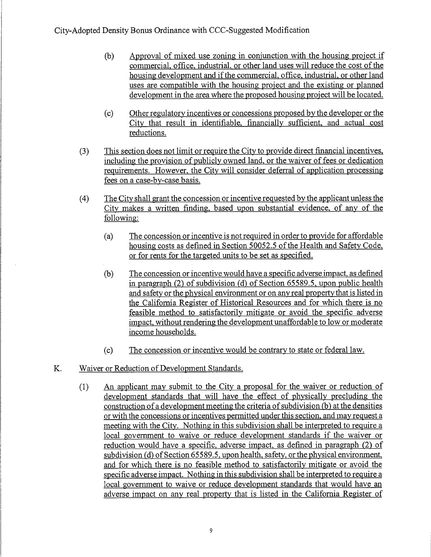- Approval of mixed use zoning in conjunction with the housing project if  $(b)$ commercial, office, industrial, or other land uses will reduce the cost of the housing development and if the commercial, office, industrial, or other land uses are compatible with the housing project and the existing or planned development in the area where the proposed housing project will be located.
- Other regulatory incentives or concessions proposed by the developer or the  $(c)$ City that result in identifiable, financially sufficient, and actual cost reductions.
- $(3)$ This section does not limit or require the City to provide direct financial incentives, including the provision of publicly owned land, or the waiver of fees or dedication requirements. However, the City will consider deferral of application processing fees on a case-by-case basis.
- The City shall grant the concession or incentive requested by the applicant unless the  $(4)$ City makes a written finding, based upon substantial evidence, of any of the following:
	- The concession or incentive is not required in order to provide for affordable  $(a)$ housing costs as defined in Section 50052.5 of the Health and Safety Code, or for rents for the targeted units to be set as specified.
	- The concession or incentive would have a specific adverse impact, as defined  $(b)$ in paragraph (2) of subdivision (d) of Section 65589.5, upon public health and safety or the physical environment or on any real property that is listed in the California Register of Historical Resources and for which there is no feasible method to satisfactorily mitigate or avoid the specific adverse impact, without rendering the development unaffordable to low or moderate income households.
	- The concession or incentive would be contrary to state or federal law.  $(c)$
- K. Waiver or Reduction of Development Standards.
	- $(1)$ An applicant may submit to the City a proposal for the waiver or reduction of development standards that will have the effect of physically precluding the construction of a development meeting the criteria of subdivision (b) at the densities or with the concessions or incentives permitted under this section, and may request a meeting with the City. Nothing in this subdivision shall be interpreted to require a local government to waive or reduce development standards if the waiver or reduction would have a specific, adverse impact, as defined in paragraph (2) of subdivision (d) of Section 65589.5, upon health, safety, or the physical environment, and for which there is no feasible method to satisfactorily mitigate or avoid the specific adverse impact. Nothing in this subdivision shall be interpreted to require a local government to waive or reduce development standards that would have an adverse impact on any real property that is listed in the California Register of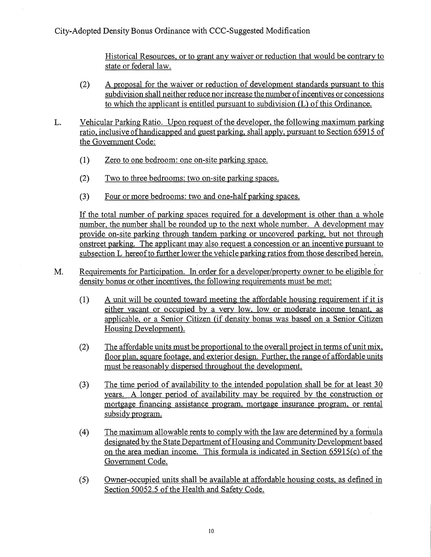Historical Resources, or to grant any waiver or reduction that would be contrary to state or federal law.

- $(2)$ A proposal for the waiver or reduction of development standards pursuant to this subdivision shall neither reduce nor increase the number of incentives or concessions to which the applicant is entitled pursuant to subdivision (L) of this Ordinance.
- L. Vehicular Parking Ratio. Upon request of the developer, the following maximum parking ratio, inclusive of handicapped and guest parking, shall apply, pursuant to Section 65915 of the Government Code:
	- $(1)$ Zero to one bedroom: one on-site parking space.
	- $(2)$ Two to three bedrooms: two on-site parking spaces.
	- $(3)$ Four or more bedrooms: two and one-half parking spaces.

If the total number of parking spaces required for a development is other than a whole number, the number shall be rounded up to the next whole number. A development may provide on-site parking through tandem parking or uncovered parking, but not through onstreet parking. The applicant may also request a concession or an incentive pursuant to subsection L hereof to further lower the vehicle parking ratios from those described herein.

- Requirements for Participation. In order for a developer/property owner to be eligible for M. density bonus or other incentives, the following requirements must be met:
	- A unit will be counted toward meeting the affordable housing requirement if it is  $(1)$ either vacant or occupied by a very low, low or moderate income tenant, as applicable, or a Senior Citizen (if density bonus was based on a Senior Citizen Housing Development).
	- $(2)$ The affordable units must be proportional to the overall project in terms of unit mix, floor plan, square footage, and exterior design. Further, the range of affordable units must be reasonably dispersed throughout the development.
	- The time period of availability to the intended population shall be for at least 30  $(3)$ years. A longer period of availability may be required by the construction or mortgage financing assistance program, mortgage insurance program, or rental subsidy program.
	- The maximum allowable rents to comply with the law are determined by a formula  $(4)$ designated by the State Department of Housing and Community Development based on the area median income. This formula is indicated in Section 65915(c) of the Government Code.
	- Owner-occupied units shall be available at affordable housing costs, as defined in  $(5)$ Section 50052.5 of the Health and Safety Code.